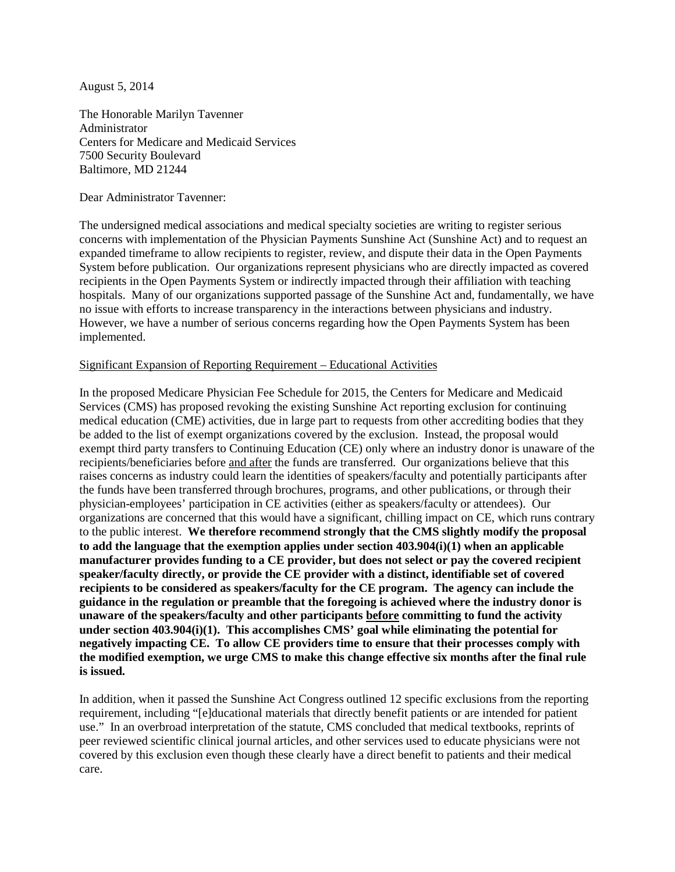August 5, 2014

The Honorable Marilyn Tavenner Administrator Centers for Medicare and Medicaid Services 7500 Security Boulevard Baltimore, MD 21244

Dear Administrator Tavenner:

The undersigned medical associations and medical specialty societies are writing to register serious concerns with implementation of the Physician Payments Sunshine Act (Sunshine Act) and to request an expanded timeframe to allow recipients to register, review, and dispute their data in the Open Payments System before publication. Our organizations represent physicians who are directly impacted as covered recipients in the Open Payments System or indirectly impacted through their affiliation with teaching hospitals. Many of our organizations supported passage of the Sunshine Act and, fundamentally, we have no issue with efforts to increase transparency in the interactions between physicians and industry. However, we have a number of serious concerns regarding how the Open Payments System has been implemented.

## Significant Expansion of Reporting Requirement – Educational Activities

In the proposed Medicare Physician Fee Schedule for 2015, the Centers for Medicare and Medicaid Services (CMS) has proposed revoking the existing Sunshine Act reporting exclusion for continuing medical education (CME) activities, due in large part to requests from other accrediting bodies that they be added to the list of exempt organizations covered by the exclusion. Instead, the proposal would exempt third party transfers to Continuing Education (CE) only where an industry donor is unaware of the recipients/beneficiaries before and after the funds are transferred. Our organizations believe that this raises concerns as industry could learn the identities of speakers/faculty and potentially participants after the funds have been transferred through brochures, programs, and other publications, or through their physician-employees' participation in CE activities (either as speakers/faculty or attendees). Our organizations are concerned that this would have a significant, chilling impact on CE, which runs contrary to the public interest. **We therefore recommend strongly that the CMS slightly modify the proposal to add the language that the exemption applies under section 403.904(i)(1) when an applicable manufacturer provides funding to a CE provider, but does not select or pay the covered recipient speaker/faculty directly, or provide the CE provider with a distinct, identifiable set of covered recipients to be considered as speakers/faculty for the CE program. The agency can include the guidance in the regulation or preamble that the foregoing is achieved where the industry donor is unaware of the speakers/faculty and other participants before committing to fund the activity under section 403.904(i)(1). This accomplishes CMS' goal while eliminating the potential for negatively impacting CE. To allow CE providers time to ensure that their processes comply with the modified exemption, we urge CMS to make this change effective six months after the final rule is issued.**

In addition, when it passed the Sunshine Act Congress outlined 12 specific exclusions from the reporting requirement, including "[e]ducational materials that directly benefit patients or are intended for patient use." In an overbroad interpretation of the statute, CMS concluded that medical textbooks, reprints of peer reviewed scientific clinical journal articles, and other services used to educate physicians were not covered by this exclusion even though these clearly have a direct benefit to patients and their medical care.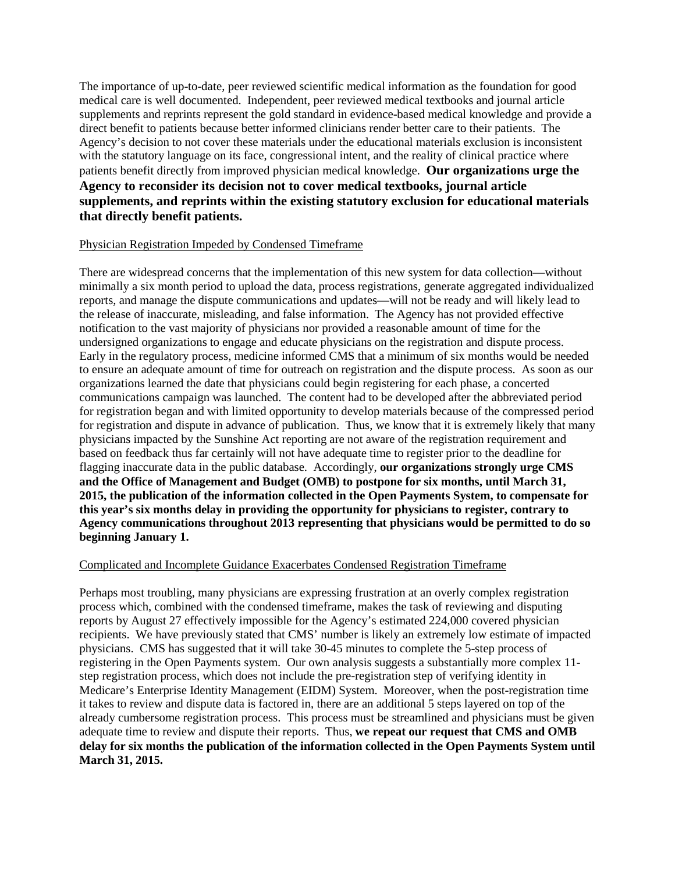The importance of up-to-date, peer reviewed scientific medical information as the foundation for good medical care is well documented. Independent, peer reviewed medical textbooks and journal article supplements and reprints represent the gold standard in evidence-based medical knowledge and provide a direct benefit to patients because better informed clinicians render better care to their patients. The Agency's decision to not cover these materials under the educational materials exclusion is inconsistent with the statutory language on its face, congressional intent, and the reality of clinical practice where patients benefit directly from improved physician medical knowledge. **Our organizations urge the Agency to reconsider its decision not to cover medical textbooks, journal article supplements, and reprints within the existing statutory exclusion for educational materials that directly benefit patients.** 

## Physician Registration Impeded by Condensed Timeframe

There are widespread concerns that the implementation of this new system for data collection—without minimally a six month period to upload the data, process registrations, generate aggregated individualized reports, and manage the dispute communications and updates—will not be ready and will likely lead to the release of inaccurate, misleading, and false information. The Agency has not provided effective notification to the vast majority of physicians nor provided a reasonable amount of time for the undersigned organizations to engage and educate physicians on the registration and dispute process. Early in the regulatory process, medicine informed CMS that a minimum of six months would be needed to ensure an adequate amount of time for outreach on registration and the dispute process. As soon as our organizations learned the date that physicians could begin registering for each phase, a concerted communications campaign was launched. The content had to be developed after the abbreviated period for registration began and with limited opportunity to develop materials because of the compressed period for registration and dispute in advance of publication. Thus, we know that it is extremely likely that many physicians impacted by the Sunshine Act reporting are not aware of the registration requirement and based on feedback thus far certainly will not have adequate time to register prior to the deadline for flagging inaccurate data in the public database. Accordingly, **our organizations strongly urge CMS and the Office of Management and Budget (OMB) to postpone for six months, until March 31, 2015, the publication of the information collected in the Open Payments System, to compensate for this year's six months delay in providing the opportunity for physicians to register, contrary to Agency communications throughout 2013 representing that physicians would be permitted to do so beginning January 1.**

## Complicated and Incomplete Guidance Exacerbates Condensed Registration Timeframe

Perhaps most troubling, many physicians are expressing frustration at an overly complex registration process which, combined with the condensed timeframe, makes the task of reviewing and disputing reports by August 27 effectively impossible for the Agency's estimated 224,000 covered physician recipients. We have previously stated that CMS' number is likely an extremely low estimate of impacted physicians. CMS has suggested that it will take 30-45 minutes to complete the 5-step process of registering in the Open Payments system. Our own analysis suggests a substantially more complex 11 step registration process, which does not include the pre-registration step of verifying identity in Medicare's Enterprise Identity Management (EIDM) System. Moreover, when the post-registration time it takes to review and dispute data is factored in, there are an additional 5 steps layered on top of the already cumbersome registration process. This process must be streamlined and physicians must be given adequate time to review and dispute their reports. Thus, **we repeat our request that CMS and OMB delay for six months the publication of the information collected in the Open Payments System until March 31, 2015.**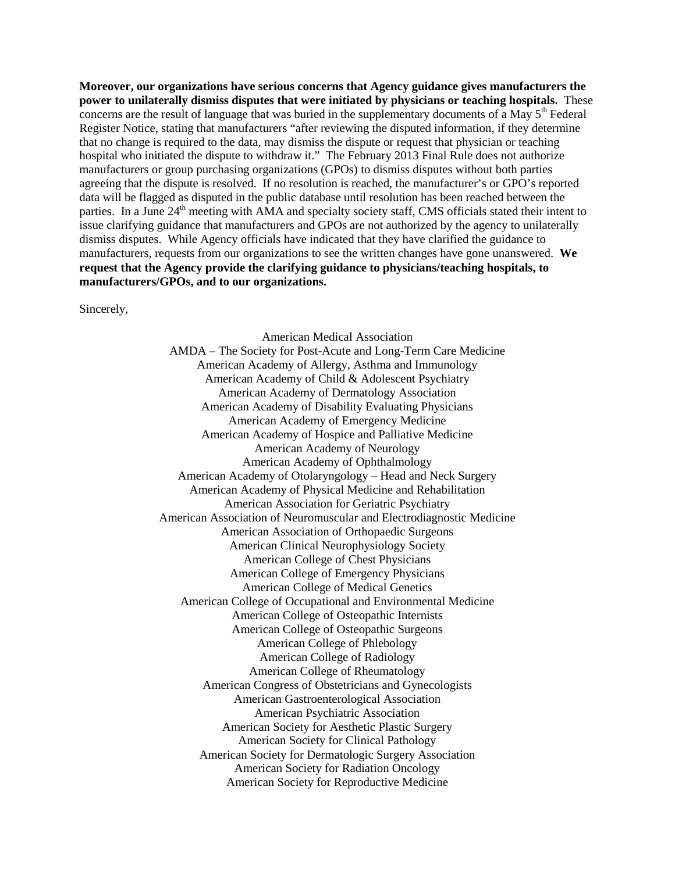**Moreover, our organizations have serious concerns that Agency guidance gives manufacturers the power to unilaterally dismiss disputes that were initiated by physicians or teaching hospitals.** These concerns are the result of language that was buried in the supplementary documents of a May  $5<sup>th</sup>$  Federal Register Notice, stating that manufacturers "after reviewing the disputed information, if they determine that no change is required to the data, may dismiss the dispute or request that physician or teaching hospital who initiated the dispute to withdraw it." The February 2013 Final Rule does not authorize manufacturers or group purchasing organizations (GPOs) to dismiss disputes without both parties agreeing that the dispute is resolved. If no resolution is reached, the manufacturer's or GPO's reported data will be flagged as disputed in the public database until resolution has been reached between the parties. In a June 24<sup>th</sup> meeting with AMA and specialty society staff, CMS officials stated their intent to issue clarifying guidance that manufacturers and GPOs are not authorized by the agency to unilaterally dismiss disputes. While Agency officials have indicated that they have clarified the guidance to manufacturers, requests from our organizations to see the written changes have gone unanswered. **We request that the Agency provide the clarifying guidance to physicians/teaching hospitals, to manufacturers/GPOs, and to our organizations.** 

Sincerely,

American Medical Association AMDA – The Society for Post-Acute and Long-Term Care Medicine American Academy of Allergy, Asthma and Immunology American Academy of Child & Adolescent Psychiatry American Academy of Dermatology Association American Academy of Disability Evaluating Physicians American Academy of Emergency Medicine American Academy of Hospice and Palliative Medicine American Academy of Neurology American Academy of Ophthalmology American Academy of Otolaryngology – Head and Neck Surgery American Academy of Physical Medicine and Rehabilitation American Association for Geriatric Psychiatry American Association of Neuromuscular and Electrodiagnostic Medicine American Association of Orthopaedic Surgeons American Clinical Neurophysiology Society American College of Chest Physicians American College of Emergency Physicians American College of Medical Genetics American College of Occupational and Environmental Medicine American College of Osteopathic Internists American College of Osteopathic Surgeons American College of Phlebology American College of Radiology American College of Rheumatology American Congress of Obstetricians and Gynecologists American Gastroenterological Association American Psychiatric Association American Society for Aesthetic Plastic Surgery American Society for Clinical Pathology American Society for Dermatologic Surgery Association American Society for Radiation Oncology American Society for Reproductive Medicine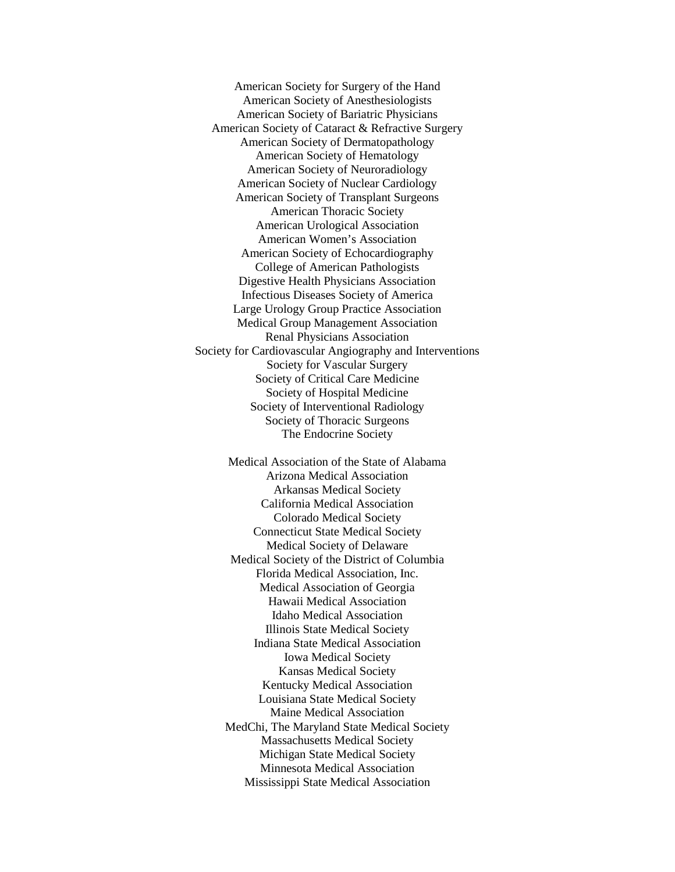American Society for Surgery of the Hand American Society of Anesthesiologists American Society of Bariatric Physicians American Society of Cataract & Refractive Surgery American Society of Dermatopathology American Society of Hematology American Society of Neuroradiology American Society of Nuclear Cardiology American Society of Transplant Surgeons American Thoracic Society American Urological Association American Women's Association American Society of Echocardiography College of American Pathologists Digestive Health Physicians Association Infectious Diseases Society of America Large Urology Group Practice Association Medical Group Management Association Renal Physicians Association Society for Cardiovascular Angiography and Interventions Society for Vascular Surgery Society of Critical Care Medicine Society of Hospital Medicine Society of Interventional Radiology Society of Thoracic Surgeons The Endocrine Society

> Medical Association of the State of Alabama Arizona Medical Association Arkansas Medical Society California Medical Association Colorado Medical Society Connecticut State Medical Society Medical Society of Delaware Medical Society of the District of Columbia Florida Medical Association, Inc. Medical Association of Georgia Hawaii Medical Association Idaho Medical Association Illinois State Medical Society Indiana State Medical Association Iowa Medical Society Kansas Medical Society Kentucky Medical Association Louisiana State Medical Society Maine Medical Association MedChi, The Maryland State Medical Society Massachusetts Medical Society Michigan State Medical Society Minnesota Medical Association Mississippi State Medical Association